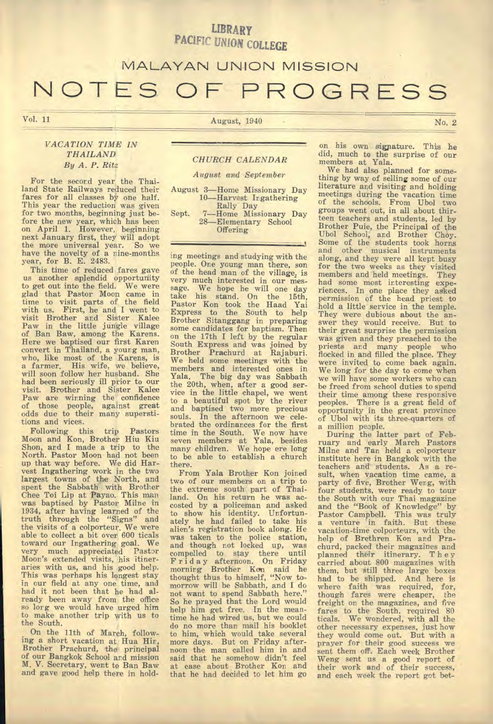### **LIBRARY**  PACIFIC UNION COLLEGE

### **MALAYAN UNION MISSION**

# NOTES OF PROGRESS

#### *VACATION TIME IN THAILAND By A. P. Ritz*

For the second year the Thailand State Railways reduced their fares for all classes by one half. This year the reduction was given for two months, beginning just before the new year, which has been on April 1. However, beginning next January first, they will adopt the more universal year. So we have the novelty of a nine-months year, for B. E. 2483.

This time of reduced fares gave us another splendid opportunity to get out into the field. We were glad that Pastor Moon came in time to visit parts of the field with us. First, he and I went to visit Brother and Sister Kalee Paw in the little jungle village of Ban Baw, among the Karens. Here we baptised our first Karen convert in Thailand, a young man, who, like most of the Karens, is a farmer. His wife, we believe, will soon follow her husband. She had been seriously ill prior to our visit. Brother and Sister Kalee Paw are winning the confidence of those people, against great odds due to their many superstitions and vices.

Following this trip Pastors Moon and Kon, Brother Hiu Kiu Shan, and I made a trip to the North. Pastor Moon had not been up that way before. We did Harvest Ingathering work in the two largest towns of the North, and spent the Sabbath with Brother Chee Toi Lip at Payao. This man was baptised by Pastor Milne in 1934, after having learned of the truth through the "Signs" and the visits of a colporteur. We were able to collect a bit over 600 ticals toward our Ingathering goal. We very much appreciated Pastor Moon's extended visits, his itineraries with us, and his good help. This was perhaps his longest stay in our field at any one time, and had it not been that he had already been away from the office so long we would have urged him to make another trip with us to the South.

On the 11th of March, following a short vacation at Hua Hin, Brother Prachurd, the principal of our Bangkok School and mission M. V. Secretary, went to Ban Baw and *gave* good help there in hold-

## Vol. 11 Mo. 2

#### *CHURCH CALENDAR*

#### *August and September*

- August 3—Home Missionary Day 10—Harvest Ingathering Rally Day
- Sept. 7—Home Missionary Day 28—Elementary School **Offering**

ing meetings and studying with the people. One young man there, son of the head man of the village, is very much interested in our mes-sage. We hope he will one day take his stand. On the 15th, Pastor Kon took the Haad Yai Express to the South to help Brother Sitanggang in preparing some candidates for baptism. Then on the 17th I left by the regular South Express and was joined by Brother Prachurd at Rajaburi. We held some meetings with the members and interested ones in Yala. The big day was Sabbath the 20th, when, after a good service in the little chapel, we went to a beautiful spot by the river and baptised two more precious souls. In the afternoon we celebrated the ordinances for the first time in the South. We now have seven members at Yala, besides many children. We hope ere long to be able to establish a church there.

From Yala Brother Kon joined two of our members on a trip to the extreme south part of Thailand. On his return he was accosted by a policeman and asked to show his identity. Unfortun-ately he had failed to take his alien's registration book along. He was taken to the police station, and though not locked up, was compelled to stay there until F rid ay afternoon. On Friday morning Brother Kon said he thought thus to himself, "Now tomorrow will be Sabbath, and I do not want to spend Sabbath here." So he prayed that the Lord would help him *get* free. In the meantime he had wired us, but we could do no more than mail his booklet to him, which would take several more days. But on Friday afternoon the man called him in and said that he somehow didn't feel at ease about, Brother Kon and that he had decided to let him go

on his own signature. This he did, much to the surprise of our members at Yala.

We had also planned for something by way of selling some of our literature and visiting and holding meetings during the vacation time of the schools. From Ubol two groups went out, in all about thirteen teachers and students, led by Brother Puie, the Principal of the Ubol School; and Brother Choy. Some of the students took horns and other musical instruments along, and they were all kept busy for the two weeks as they visited members and held meetings. They had some most interesting experiences. In one place they asked permission of the head priest to hold a little service in the temple. They were dubious about the an-swer they would receive. But to their great surprise the permission was given and they preached to the priests and many people who flocked in and filled the place. They were invited to come back again. We long for the day to come when we will have some workers who can be freed from school duties to spend their time among these responsive peoples. There is a great field of opportunity in the great province of Ubol with its three-quarters of a million people.

During the latter part of February and early March Pastors Milne and Tan held a colporteur institute here in Bangkok with the teachers and students. As a result, when vacation time came, a party of five, Brother Weng, with four students, were ready to tour the South with our Thai magazine and the "Book of Knowledge" by Pastor Campbell. This was truly a venture 'in faith. But these vacation-time colporteurs, with the help of Brethren Kon and Prachurd, packed their magazines and planned their itinerary. They carried about 800 magazines with them, but Still three large boxes had to be shipped. And here is where faith was required, for, though fares were cheaper, the freight on the magazines, and five fares to the South, required 80 ticals. We wondered, with all the other necessary expenses, just how they would come out. But with a prayer for their good success we sent them off. Each week Brother Weng sent us a good report of their work and of their success, and each week the report got bet-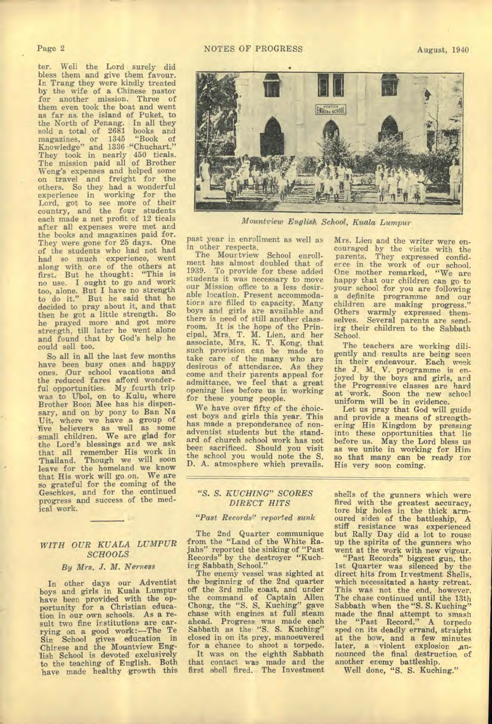#### Page 2

ter. Well the Lord surely did bless them and *give* them favour. In Trang they were kindly treated by the wife of *a* Chinese pastor for another mission. Three of them even took the boat and went as far as the island of Puket, to the North of Penang. In all they sold a total of 2681 books and magazines, or 1345 "Book of Knowledge" and 1336 "Chuchart." They took in nearly 450 ticals. The mission paid all of Brother Weng's expenses and helped some on travel and freight for the others. So they had a wonderful experience in working for the Lord, got to see more of their country, and the four students each made a net profit of 12 ticals after all expenses were met and the books and magazines paid for. They were gone for 25 days. One of the students who had not had had so much experience, went along with ore of the others at first. But he thought: "This is no use. I ought to go and work too, alone. But I have no strength to do it." But he said that he decided to pray about it, and that then he got a little strength. So he prayed more and got more strength, till later he went alone and found that by God's help he could sell too.

So all in all the last few months have been busy ones and happy ones. Our school vacations and the reduced fares afford wonderful opportunities. My fourth trip was to Ubol, on to Kulu, where Brother Boon Mee has his dispensary, and on by pony to Ban Na Uit, where we have a group of 'five believers as well as some small children. We are glad for the Lord's blessings and we ask that all remember His work in Thailand. Though we will soon leave for the homeland we know that His work will go on. We are so grateful for the coming of the Geschkes, and for the continued progress and success of the medical work.

#### *WITH OUR KUALA LUMPUR SCHOOLS*

#### By Mrs. J. M. Nerness

In other days our Adventist boys and girls in Kuala Lumpur have been provided with the opportunity for a Christian education in our own schools. As a result two fipe institutions are carrying on a good work:—The Te Sin School gives education in Chirese and the Mountview English School is devoted exclusively to the teaching of English. Both have made healthy growth this

#### NOTES OF PROGRESS August, 1940



*Mountview English School, Kuala Lumpur* 

past year in enrollment as well as in other respects.

The Mourtview School enrollment has almost doubled that of 1939. To provide for these added students it was necessary to move our Mission office to a less desirable location. Present accommodations are filled to capacity. Many boys and girls are available and there is need of still another classroom,. It is the hope of the Principal, Mrs. T. M. Lien, and her associate, Mrs. K. T. Kong, that such provision can be made to take care of the many who are desirous of attendance. As they come and their parents appeal for admittance, we feel that a great opening lies before us in working for these young people.

We have over fifty of the choicest boys and girls this year. This has made a preponderance of nonadventist students but the standard of church school work has not beer. sacrificed. Should you visit the school you would note the S. D. A. atmosphere which prevails.

Mrs. Lien and the writer were encouraged by the visits with the parents. They expressed confiderce in the work of our school. One mother remarked, "We are happy that our children can go to your school for you are following a definite programme and our children are making progress." Others warmly expressed themselves. Several parents are sending their children to the Sabbath School.

The teachers are working diligently and results are being seen in their endeavour. Each week the J. M. V. programme is enjoyed by the boys and girls, and the Progressive classes are hard at work. Soon the new school uniform will be in evidence.

Let us pray that God will guide and provide a means of strengthering His Kingdom by pressing into these opportunities that lie before us. May the Lord bless us as we unite in working for Him so that many can be ready for His very soon coming.

#### *"S. S. KUCHING" SCORES DIRECT HITS*

#### *"Past Records" reported sunk*

The 2nd Quarter communique from the "Land of the White Rajahs" reported the sinking of "Past Records" by the destroyer "Kuching Sabbath, School."

The enemy vessel was sighted at the beginning of the 2nd quarter off the 3rd mile coast, and under the command of Captain Allen Chong, the "S. S. Kuching" gave chase with engines at full steam ahead. Progress was made each Sabbath as the "S. S. Kuching" closed in on its prey, manoeuvered for a chance to shoot a torpedo.

It was on the eighth Sabbath that contact was made and the first shell fired. The Investment shells of the gunners which were fired with the greatest accuracy, tore big holes in the thick armoured sides of the battleship. A stiff resistance was experienced but Rally Day did a lot to rouse up the spirits of the gunners who went at the work with new vigour.

"Past Records" biggest gun, the 1st Quarter was silenced by the direct hits from Investment Shells, which necessitated a hasty retreat. This was not the end, however. The chase continued until the 13th Sabbath when the "S. S. Kuching" made the final attempt to smash the "Past Record." A torpedo sped on its deadly errand, straight at the bow, and a few minutes<br>later, a violent explosion announced the final destruction of another enemy battleship.

Well done, "S. S. Kuching."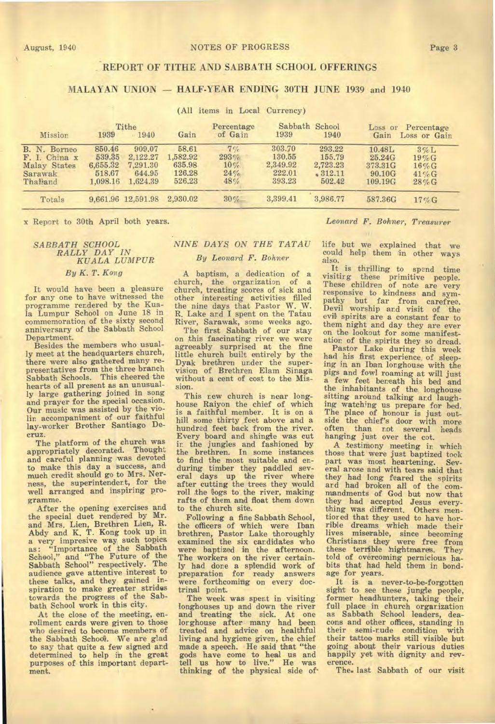#### August, 1940 NOTES OF PROGRESS

Page 3

#### **REPORT OF TITHE AND SABBATH SCHOOL OFFERINGS**

#### **MALAYAN UNION — HALF-YEAR ENDING 30TH JUNE 1939 and** 1940

#### (All items in Local Currency)

| Mission                                                              | Tithe<br>1939<br>$-1940$                           |                                                      | Gain                                            | Percentage<br>of Gain              | Sabbath School<br>1939                           | 1940                                               | Loss or Percentage<br>Gain<br>Loss or Gain       |                                                         |
|----------------------------------------------------------------------|----------------------------------------------------|------------------------------------------------------|-------------------------------------------------|------------------------------------|--------------------------------------------------|----------------------------------------------------|--------------------------------------------------|---------------------------------------------------------|
| B. N. Borneo<br>F. I. China x<br>Malay States<br>Sarawak<br>Thailand | 850.46<br>539.35<br>6.655.32<br>518.67<br>1,098.16 | 909.07<br>2,122.27<br>7.291.30<br>644.95<br>1,624.39 | 58.61<br>1,582.92<br>635.98<br>126.28<br>526,23 | 7%<br>293%<br>$10\%$<br>24%<br>48% | 303.70<br>130.55<br>2.349.92<br>222.01<br>393.23 | 293.22<br>155.79<br>2,723.23<br>\$312.11<br>502.42 | 10.48L<br>25.24G<br>373.31G<br>90.10G<br>109.19G | $3\%$ L<br>$19\%$ G<br>$16\%$ G<br>$41\%$ G<br>$28\%$ G |
| Totals                                                               |                                                    | 9,661.96 12,591.98                                   | 2,930.02                                        | 30%                                | 3,399.41                                         | 3,986.77                                           | 587.36G                                          | $17\%$ G                                                |

x Report to 30th April both years. *Leonard F. Bohner, Treasurer* 

#### *SABBATH SCHOOL RALLY DAY IN KUALA LUMPUR By K. T. Kong*

It would have been a pleasure for any one to have witnessed the programme rendered by the Kua-la Lumpur School on June 18 in commemoration of the sixty second anniversary of the Sabbath School Department.

Besides the members who usually meet at the headquarters church, there were also gathered many representatives from the three branch Sabbath Schools. This cheered the hearts of all present as an unusually large gathering joined in song and prayer for the special occasion. Our music was assisted by the violin accompaniment of our faithful lay-worker Brother Santiago De-**Cruz** 

The platform of the church was appropriately decorated. Thought and careful planning was devoted to make this day a success, and much credit should go to Mrs. Nerness, the superintendent, for the well arranged and inspiring programme.

After the opening exercises and the special duet rendered by Mr. and Mrs. Lien, Brethren Lien, R. Abdy and K. T. Kong took up in a very impresive way such topics as: "Importance of the Sabbath School," and "The Future of the Sabbath School" respectively. The audience gave attentive interest to these talks, and they gained inspiration to make greater strides towards the progress of the Sabbath School work in this city.

At the close of the meeting, enrollment cards were given to those who desired to become members of the Sabbath School. We are glad to say that quite a few signed and determined to help in the great purposes of this important department.

#### **NINE DAYS ON THE TATAU** *By Leonard F. Bohner*

A baptism, a dedication of a church, the organization of a church, treating scores of sick and other interesting activities filled the nine days that Pastor W. W. R. Lake and I spent on the Tatau River, Sarawak, some weeks ago.

The first Sabbath of our stay on this fascinating river we were agreeably surprised at the fine little church built entirely by the Dyak brethren under the supervision of Brethren Elam Sinaga without a cent of cost to the Mission.

This new church is near longhouse Raiyon the chief of which is a faithful member. It is on a hill some thirty feet above and a hundred feet back from the river. Every board and shingle was cut in the jungles and fashioned by the brethren. In some instances to find the most suitable and enduring timber they paddled sev-eral days up the river where after cutting the trees they would roll the logs to the river, making rafts of them and float them down to the church site.

Following a fine Sabbath School, the officers of which were Iban brethren, Pastor Lake thoroughly examined the six candidates who were baptized in the afternoon. The workers on the river certainly had done a splendid work of preparation for ready answers were forthcoming on every doctrinal point

The week was spent in visiting longhouses up and down the river and treating the sick. At one lorghouse after many had been treated and advice on healthful living and hygiene given, the chief made a speech. He said that "the gods have come to heal us and tell us how to live." He was thinking of the physical side of•

life but we explained that we could help them in other ways also.

It is thrilling to spend time visitirg these primitive people. These children of note are very responsive to kindness and sympathy but far from carefree. Devil worship and visit of the evil spirits are a constant fear to them night and day they are ever on the lookout for some manifestation of the spirits they so dread.

Pastor Lake during this week had his first experience, of sleeping in an Iban longhouse with the pigs and fowl roaming at will just a few feet beneath his bed and the inhabitants of the longhouse sitting around talking and laughing watching us prepare for bed. The place of honour is just outside the chief's door with more often than r.ot several heads hanging just over the cot.

A testimony meeting in which those that were just baptized took part was most heartening. Several arose and with tears said that they had long feared the spirits ard had broken all of the commandments of God but now that they had accepted Jesus everything was different. Others mentiored that they used to have horrible dreams which made their lives miserable, since becoming Christians they were free from these terrible hightmares. They told of overcoming pernicious ha-bits that had held them in bondage for years.

It is a never-to-be-forgotten sight to see these jungle people, former headhunters, taking their full place in church organization as Sabbath School leaders, deacons and other offices, standing in their semi-rude condition with their tattoo marks still visible but going about their various duties happily yet with dignity and reverence.

The. last Sabbath of our visit